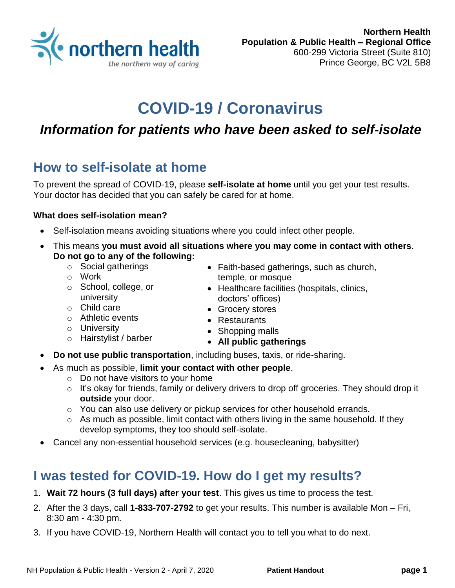

# **COVID-19 / Coronavirus**

### *Information for patients who have been asked to self-isolate*

### **How to self-isolate at home**

To prevent the spread of COVID-19, please **self-isolate at home** until you get your test results. Your doctor has decided that you can safely be cared for at home.

#### **What does self-isolation mean?**

- Self-isolation means avoiding situations where you could infect other people.
- This means **you must avoid all situations where you may come in contact with others**. **Do not go to any of the following:**
	- o Social gatherings
	- o Work
- Faith-based gatherings, such as church, temple, or mosque
- o School, college, or university
- o Child care
- o Athletic events
- o University
- o Hairstylist / barber
- **All public gatherings**
- **Do not use public transportation**, including buses, taxis, or ride-sharing.
- As much as possible, **limit your contact with other people**.
	- $\circ$  Do not have visitors to your home
	- $\circ$  It's okay for friends, family or delivery drivers to drop off groceries. They should drop it **outside** your door.
	- o You can also use delivery or pickup services for other household errands.
	- o As much as possible, limit contact with others living in the same household. If they develop symptoms, they too should self-isolate.
- Cancel any non-essential household services (e.g. housecleaning, babysitter)

### **I was tested for COVID-19. How do I get my results?**

- 1. **Wait 72 hours (3 full days) after your test**. This gives us time to process the test.
- 2. After the 3 days, call **1-833-707-2792** to get your results. This number is available Mon Fri, 8:30 am - 4:30 pm.
- 3. If you have COVID-19, Northern Health will contact you to tell you what to do next.
- Healthcare facilities (hospitals, clinics, doctors' offices)
- Grocery stores
- Restaurants
- Shopping malls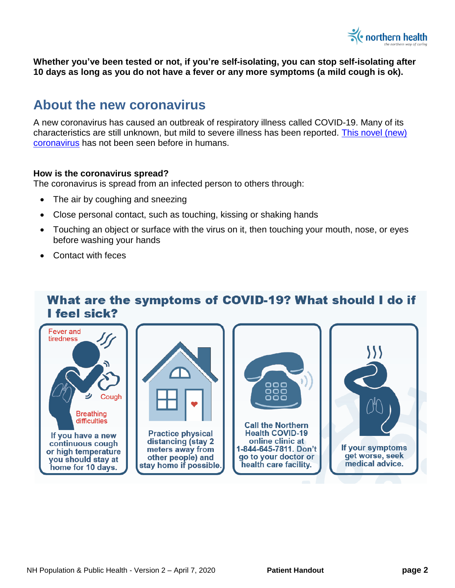

**Whether you've been tested or not, if you're self-isolating, you can stop self-isolating after 10 days as long as you do not have a fever or any more symptoms (a mild cough is ok).**

### **About the new coronavirus**

A new coronavirus has caused an outbreak of respiratory illness called COVID-19. Many of its characteristics are still unknown, but mild to severe illness has been reported. This [novel \(new\)](https://www.who.int/emergencies/diseases/novel-coronavirus-2019)  [coronavirus](https://www.who.int/emergencies/diseases/novel-coronavirus-2019) has not been seen before in humans.

#### **How is the coronavirus spread?**

The coronavirus is spread from an infected person to others through:

- The air by coughing and sneezing
- Close personal contact, such as touching, kissing or shaking hands
- Touching an object or surface with the virus on it, then touching your mouth, nose, or eyes before washing your hands
- Contact with feces

### What are the symptoms of COVID-19? What should I do if I feel sick?

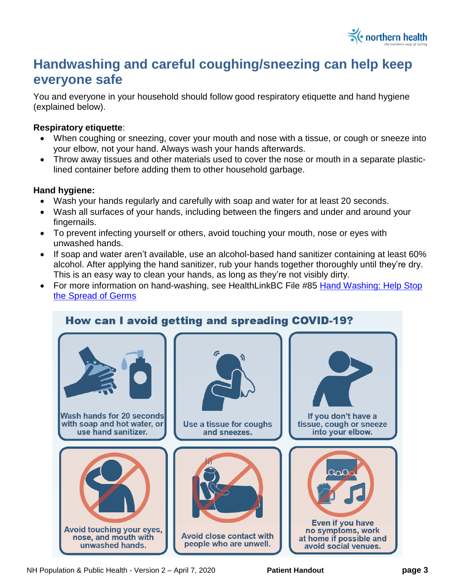

## **Handwashing and careful coughing/sneezing can help keep everyone safe**

You and everyone in your household should follow good respiratory etiquette and hand hygiene (explained below).

#### **Respiratory etiquette**:

- When coughing or sneezing, cover your mouth and nose with a tissue, or cough or sneeze into your elbow, not your hand. Always wash your hands afterwards.
- Throw away tissues and other materials used to cover the nose or mouth in a separate plasticlined container before adding them to other household garbage.

#### **Hand hygiene:**

- Wash your hands regularly and carefully with soap and water for at least 20 seconds.
- Wash all surfaces of your hands, including between the fingers and under and around your fingernails.
- To prevent infecting yourself or others, avoid touching your mouth, nose or eyes with unwashed hands.
- If soap and water aren't available, use an alcohol-based hand sanitizer containing at least 60% alcohol. After applying the hand sanitizer, rub your hands together thoroughly until they're dry. This is an easy way to clean your hands, as long as they're not visibly dirty.
- For more information on hand-washing, see HealthLinkBC File #85 Hand Washing: Help Stop [the Spread of Germs](https://www.healthlinkbc.ca/healthlinkbc-files/hand-washing)



NH Population & Public Health - Version 2 – April 7, 2020 **Patient Handout page 3**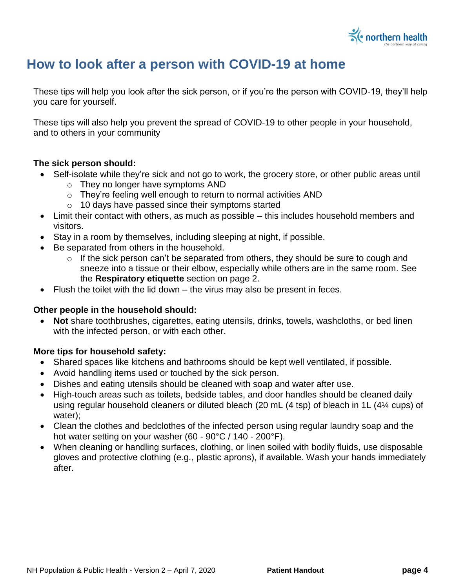

### **How to look after a person with COVID-19 at home**

These tips will help you look after the sick person, or if you're the person with COVID-19, they'll help you care for yourself.

These tips will also help you prevent the spread of COVID-19 to other people in your household, and to others in your community

#### **The sick person should:**

- Self-isolate while they're sick and not go to work, the grocery store, or other public areas until
	- o They no longer have symptoms AND
	- o They're feeling well enough to return to normal activities AND
	- o 10 days have passed since their symptoms started
- Limit their contact with others, as much as possible this includes household members and visitors.
- Stay in a room by themselves, including sleeping at night, if possible.
- Be separated from others in the household.
	- o If the sick person can't be separated from others, they should be sure to cough and sneeze into a tissue or their elbow, especially while others are in the same room. See the **Respiratory etiquette** section on page 2.
- $\bullet$  Flush the toilet with the lid down the virus may also be present in feces.

#### **Other people in the household should:**

 **Not** share toothbrushes, cigarettes, eating utensils, drinks, towels, washcloths, or bed linen with the infected person, or with each other.

#### **More tips for household safety:**

- Shared spaces like kitchens and bathrooms should be kept well ventilated, if possible.
- Avoid handling items used or touched by the sick person.
- Dishes and eating utensils should be cleaned with soap and water after use.
- High-touch areas such as toilets, bedside tables, and door handles should be cleaned daily using regular household cleaners or diluted bleach (20 mL (4 tsp) of bleach in 1L (4¼ cups) of water);
- Clean the clothes and bedclothes of the infected person using regular laundry soap and the hot water setting on your washer (60 - 90°C / 140 - 200°F).
- When cleaning or handling surfaces, clothing, or linen soiled with bodily fluids, use disposable gloves and protective clothing (e.g., plastic aprons), if available. Wash your hands immediately after.